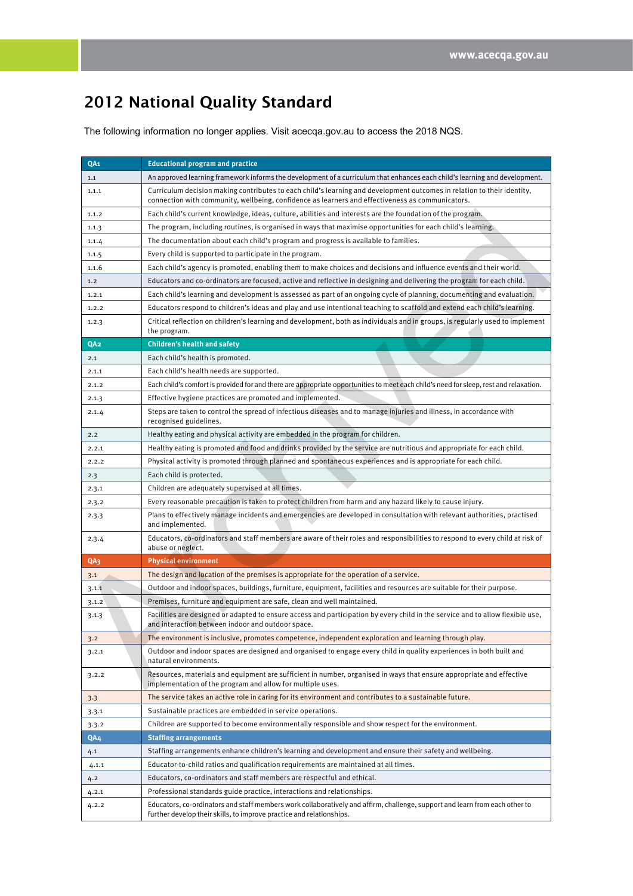## 2012 National Quality Standard

The following information no longer applies. Visit [acecqa.gov.au](http://www.acecqa.gov.au/) to access the 2018 NQS.

| QA <sub>1</sub> | <b>Educational program and practice</b>                                                                                                                                                                                     |
|-----------------|-----------------------------------------------------------------------------------------------------------------------------------------------------------------------------------------------------------------------------|
| 1.1             | An approved learning framework informs the development of a curriculum that enhances each child's learning and development.                                                                                                 |
| 1.1.1           | Curriculum decision making contributes to each child's learning and development outcomes in relation to their identity,<br>connection with community, wellbeing, confidence as learners and effectiveness as communicators. |
| 1.1.2           | Each child's current knowledge, ideas, culture, abilities and interests are the foundation of the program.                                                                                                                  |
| 1.1.3           | The program, including routines, is organised in ways that maximise opportunities for each child's learning.                                                                                                                |
| 1.1.4           | The documentation about each child's program and progress is available to families.                                                                                                                                         |
| 1.1.5           | Every child is supported to participate in the program.                                                                                                                                                                     |
| 1.1.6           | Each child's agency is promoted, enabling them to make choices and decisions and influence events and their world.                                                                                                          |
| 1.2             | Educators and co-ordinators are focused, active and reflective in designing and delivering the program for each child.                                                                                                      |
| 1.2.1           | Each child's learning and development is assessed as part of an ongoing cycle of planning, documenting and evaluation.                                                                                                      |
| 1.2.2           | Educators respond to children's ideas and play and use intentional teaching to scaffold and extend each child's learning.                                                                                                   |
| 1.2.3           | Critical reflection on children's learning and development, both as individuals and in groups, is regularly used to implement<br>the program.                                                                               |
| QA <sub>2</sub> | <b>Children's health and safety</b>                                                                                                                                                                                         |
| 2.1             | Each child's health is promoted.                                                                                                                                                                                            |
| 2.1.1           | Each child's health needs are supported.                                                                                                                                                                                    |
| 2.1.2           | Each child's comfort is provided for and there are appropriate opportunities to meet each child's need for sleep, rest and relaxation.                                                                                      |
| 2.1.3           | Effective hygiene practices are promoted and implemented.                                                                                                                                                                   |
| 2.1.4           | Steps are taken to control the spread of infectious diseases and to manage injuries and illness, in accordance with<br>recognised guidelines.                                                                               |
| 2.2             | Healthy eating and physical activity are embedded in the program for children.                                                                                                                                              |
| 2.2.1           | Healthy eating is promoted and food and drinks provided by the service are nutritious and appropriate for each child.                                                                                                       |
| 2.2.2           | Physical activity is promoted through planned and spontaneous experiences and is appropriate for each child.                                                                                                                |
| 2.3             | Each child is protected.                                                                                                                                                                                                    |
| 2.3.1           | Children are adequately supervised at all times.                                                                                                                                                                            |
| 2.3.2           | Every reasonable precaution is taken to protect children from harm and any hazard likely to cause injury.                                                                                                                   |
| 2.3.3           | Plans to effectively manage incidents and emergencies are developed in consultation with relevant authorities, practised<br>and implemented.                                                                                |
| 2.3.4           | Educators, co-ordinators and staff members are aware of their roles and responsibilities to respond to every child at risk of<br>abuse or neglect.                                                                          |
| QA <sub>3</sub> | <b>Physical environment</b>                                                                                                                                                                                                 |
| 3.1             | The design and location of the premises is appropriate for the operation of a service.                                                                                                                                      |
| 3.1.1           | Outdoor and indoor spaces, buildings, furniture, equipment, facilities and resources are suitable for their purpose.                                                                                                        |
| 3.1.2           | Premises, furniture and equipment are safe, clean and well maintained.                                                                                                                                                      |
| 3.1.3           | Facilities are designed or adapted to ensure access and participation by every child in the service and to allow flexible use,<br>and interaction between indoor and outdoor space.                                         |
| 3.2             | The environment is inclusive, promotes competence, independent exploration and learning through play.                                                                                                                       |
| 3.2.1           | Outdoor and indoor spaces are designed and organised to engage every child in quality experiences in both built and<br>natural environments.                                                                                |
| 3.2.2           | Resources, materials and equipment are sufficient in number, organised in ways that ensure appropriate and effective<br>implementation of the program and allow for multiple uses.                                          |
| 3.3             | The service takes an active role in caring for its environment and contributes to a sustainable future.                                                                                                                     |
| 3.3.1           | Sustainable practices are embedded in service operations.                                                                                                                                                                   |
| 3.3.2           | Children are supported to become environmentally responsible and show respect for the environment.                                                                                                                          |
| QA4             | <b>Staffing arrangements</b>                                                                                                                                                                                                |
| 4.1             | Staffing arrangements enhance children's learning and development and ensure their safety and wellbeing.                                                                                                                    |
| 4.1.1           | Educator-to-child ratios and qualification requirements are maintained at all times.                                                                                                                                        |
| 4.2             | Educators, co-ordinators and staff members are respectful and ethical.                                                                                                                                                      |
| 4.2.1           | Professional standards guide practice, interactions and relationships.                                                                                                                                                      |
| 4.2.2           | Educators, co-ordinators and staff members work collaboratively and affirm, challenge, support and learn from each other to<br>further develop their skills, to improve practice and relationships.                         |